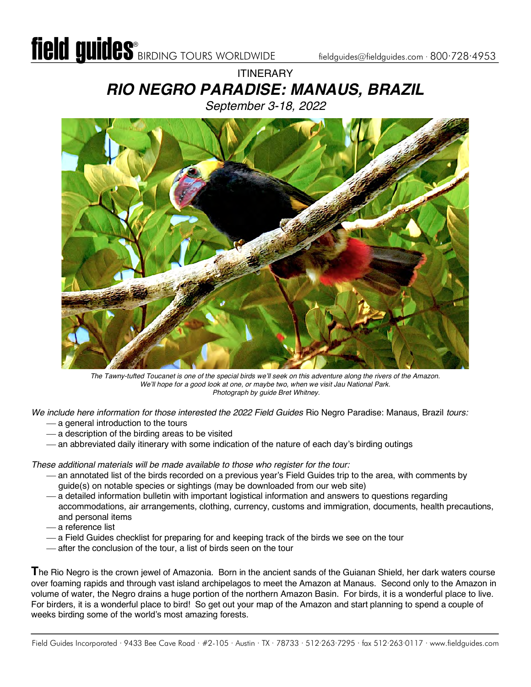#### **ITINERARY** *RIO NEGRO PARADISE: MANAUS, BRAZIL September 3-18, 2022*



*The Tawny-tufted Toucanet is one of the special birds we'll seek on this adventure along the rivers of the Amazon. We'll hope for a good look at one, or maybe two, when we visit Jau National Park. Photograph by guide Bret Whitney.*

*We include here information for those interested the 2022 Field Guides* Rio Negro Paradise: Manaus, Brazil *tours:*

- $-$  a general introduction to the tours
- $-$  a description of the birding areas to be visited
- an abbreviated daily itinerary with some indication of the nature of each day's birding outings

*These additional materials will be made available to those who register for the tour:*

- ¾ an annotated list of the birds recorded on a previous year's Field Guides trip to the area, with comments by guide(s) on notable species or sightings (may be downloaded from our web site)
- a detailed information bulletin with important logistical information and answers to questions regarding accommodations, air arrangements, clothing, currency, customs and immigration, documents, health precautions, and personal items
- ¾ a reference list
- ¾ a Field Guides checklist for preparing for and keeping track of the birds we see on the tour
- ¾ after the conclusion of the tour, a list of birds seen on the tour

**T**he Rio Negro is the crown jewel of Amazonia. Born in the ancient sands of the Guianan Shield, her dark waters course over foaming rapids and through vast island archipelagos to meet the Amazon at Manaus. Second only to the Amazon in volume of water, the Negro drains a huge portion of the northern Amazon Basin. For birds, it is a wonderful place to live. For birders, it is a wonderful place to bird! So get out your map of the Amazon and start planning to spend a couple of weeks birding some of the world's most amazing forests.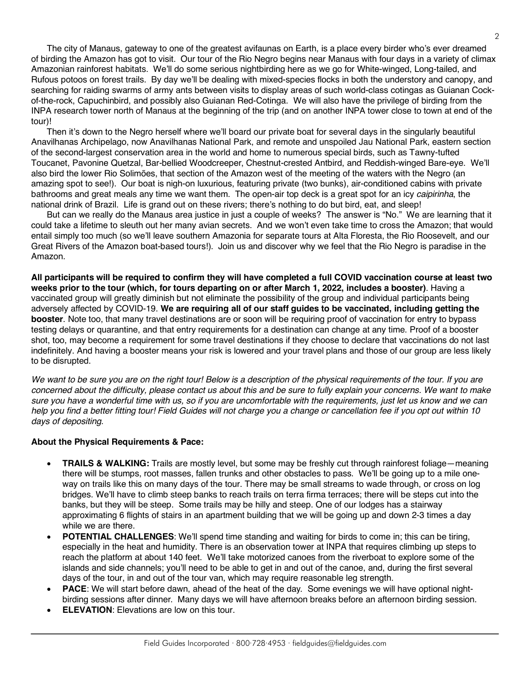The city of Manaus, gateway to one of the greatest avifaunas on Earth, is a place every birder who's ever dreamed of birding the Amazon has got to visit. Our tour of the Rio Negro begins near Manaus with four days in a variety of climax Amazonian rainforest habitats. We'll do some serious nightbirding here as we go for White-winged, Long-tailed, and Rufous potoos on forest trails. By day we'll be dealing with mixed-species flocks in both the understory and canopy, and searching for raiding swarms of army ants between visits to display areas of such world-class cotingas as Guianan Cockof-the-rock, Capuchinbird, and possibly also Guianan Red-Cotinga. We will also have the privilege of birding from the INPA research tower north of Manaus at the beginning of the trip (and on another INPA tower close to town at end of the tour)!

Then it's down to the Negro herself where we'll board our private boat for several days in the singularly beautiful Anavilhanas Archipelago, now Anavilhanas National Park, and remote and unspoiled Jau National Park, eastern section of the second-largest conservation area in the world and home to numerous special birds, such as Tawny-tufted Toucanet, Pavonine Quetzal, Bar-bellied Woodcreeper, Chestnut-crested Antbird, and Reddish-winged Bare-eye. We'll also bird the lower Rio Solimões, that section of the Amazon west of the meeting of the waters with the Negro (an amazing spot to see!). Our boat is nigh-on luxurious, featuring private (two bunks), air-conditioned cabins with private bathrooms and great meals any time we want them. The open-air top deck is a great spot for an icy *caipirinha*, the national drink of Brazil. Life is grand out on these rivers; there's nothing to do but bird, eat, and sleep!

But can we really do the Manaus area justice in just a couple of weeks? The answer is "No." We are learning that it could take a lifetime to sleuth out her many avian secrets. And we won't even take time to cross the Amazon; that would entail simply too much (so we'll leave southern Amazonia for separate tours at Alta Floresta, the Rio Roosevelt, and our Great Rivers of the Amazon boat-based tours!). Join us and discover why we feel that the Rio Negro is paradise in the Amazon.

**All participants will be required to confirm they will have completed a full COVID vaccination course at least two weeks prior to the tour (which, for tours departing on or after March 1, 2022, includes a booster)**. Having a vaccinated group will greatly diminish but not eliminate the possibility of the group and individual participants being adversely affected by COVID-19. **We are requiring all of our staff guides to be vaccinated, including getting the booster**. Note too, that many travel destinations are or soon will be requiring proof of vaccination for entry to bypass testing delays or quarantine, and that entry requirements for a destination can change at any time. Proof of a booster shot, too, may become a requirement for some travel destinations if they choose to declare that vaccinations do not last indefinitely. And having a booster means your risk is lowered and your travel plans and those of our group are less likely to be disrupted.

*We want to be sure you are on the right tour! Below is a description of the physical requirements of the tour. If you are concerned about the difficulty, please contact us about this and be sure to fully explain your concerns. We want to make sure you have a wonderful time with us, so if you are uncomfortable with the requirements, just let us know and we can help you find a better fitting tour! Field Guides will not charge you a change or cancellation fee if you opt out within 10 days of depositing.*

#### **About the Physical Requirements & Pace:**

- **TRAILS & WALKING:** Trails are mostly level, but some may be freshly cut through rainforest foliage—meaning there will be stumps, root masses, fallen trunks and other obstacles to pass. We'll be going up to a mile oneway on trails like this on many days of the tour. There may be small streams to wade through, or cross on log bridges. We'll have to climb steep banks to reach trails on terra firma terraces; there will be steps cut into the banks, but they will be steep. Some trails may be hilly and steep. One of our lodges has a stairway approximating 6 flights of stairs in an apartment building that we will be going up and down 2-3 times a day while we are there.
- **POTENTIAL CHALLENGES**: We'll spend time standing and waiting for birds to come in; this can be tiring, especially in the heat and humidity. There is an observation tower at INPA that requires climbing up steps to reach the platform at about 140 feet. We'll take motorized canoes from the riverboat to explore some of the islands and side channels; you'll need to be able to get in and out of the canoe, and, during the first several days of the tour, in and out of the tour van, which may require reasonable leg strength.
- **PACE:** We will start before dawn, ahead of the heat of the day. Some evenings we will have optional nightbirding sessions after dinner. Many days we will have afternoon breaks before an afternoon birding session.
- **ELEVATION:** Elevations are low on this tour.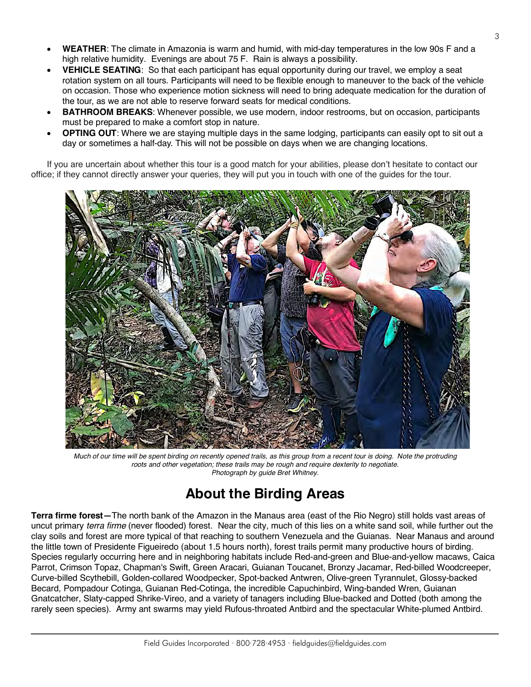- **WEATHER**: The climate in Amazonia is warm and humid, with mid-day temperatures in the low 90s F and a high relative humidity. Evenings are about 75 F. Rain is always a possibility.
- **VEHICLE SEATING**: So that each participant has equal opportunity during our travel, we employ a seat rotation system on all tours. Participants will need to be flexible enough to maneuver to the back of the vehicle on occasion. Those who experience motion sickness will need to bring adequate medication for the duration of the tour, as we are not able to reserve forward seats for medical conditions.
- **BATHROOM BREAKS**: Whenever possible, we use modern, indoor restrooms, but on occasion, participants must be prepared to make a comfort stop in nature.
- **OPTING OUT:** Where we are staying multiple days in the same lodging, participants can easily opt to sit out a day or sometimes a half-day. This will not be possible on days when we are changing locations.

If you are uncertain about whether this tour is a good match for your abilities, please don't hesitate to contact our office; if they cannot directly answer your queries, they will put you in touch with one of the guides for the tour.



*Much of our time will be spent birding on recently opened trails, as this group from a recent tour is doing. Note the protruding roots and other vegetation; these trails may be rough and require dexterity to negotiate. Photograph by guide Bret Whitney.*

# **About the Birding Areas**

**Terra firme forest—**The north bank of the Amazon in the Manaus area (east of the Rio Negro) still holds vast areas of uncut primary *terra firme* (never flooded) forest. Near the city, much of this lies on a white sand soil, while further out the clay soils and forest are more typical of that reaching to southern Venezuela and the Guianas. Near Manaus and around the little town of Presidente Figueiredo (about 1.5 hours north), forest trails permit many productive hours of birding. Species regularly occurring here and in neighboring habitats include Red-and-green and Blue-and-yellow macaws, Caica Parrot, Crimson Topaz, Chapman's Swift, Green Aracari, Guianan Toucanet, Bronzy Jacamar, Red-billed Woodcreeper, Curve-billed Scythebill, Golden-collared Woodpecker, Spot-backed Antwren, Olive-green Tyrannulet, Glossy-backed Becard, Pompadour Cotinga, Guianan Red-Cotinga, the incredible Capuchinbird, Wing-banded Wren, Guianan Gnatcatcher, Slaty-capped Shrike-Vireo, and a variety of tanagers including Blue-backed and Dotted (both among the rarely seen species). Army ant swarms may yield Rufous-throated Antbird and the spectacular White-plumed Antbird.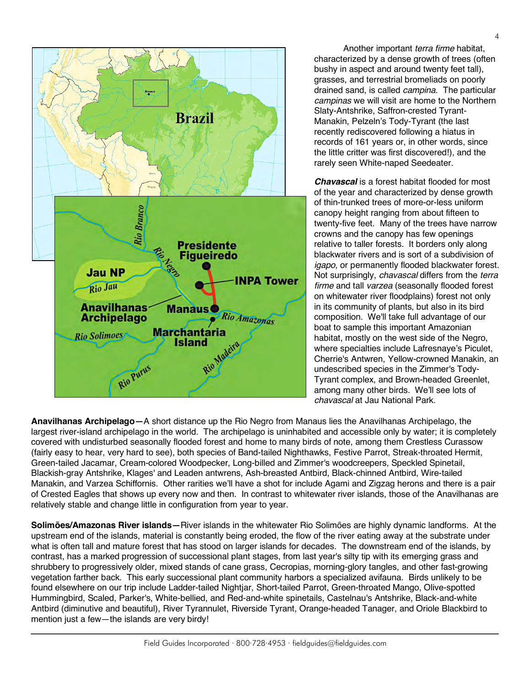

Another important *terra firme* habitat, characterized by a dense growth of trees (often bushy in aspect and around twenty feet tall), grasses, and terrestrial bromeliads on poorly drained sand, is called *campina*. The particular *campinas* we will visit are home to the Northern Slaty-Antshrike, Saffron-crested Tyrant-Manakin, Pelzeln's Tody-Tyrant (the last recently rediscovered following a hiatus in records of 161 years or, in other words, since the little critter was first discovered!), and the rarely seen White-naped Seedeater.

*Chavascal* is a forest habitat flooded for most of the year and characterized by dense growth of thin-trunked trees of more-or-less uniform canopy height ranging from about fifteen to twenty-five feet. Many of the trees have narrow crowns and the canopy has few openings relative to taller forests. It borders only along blackwater rivers and is sort of a subdivision of *igapo*, or permanently flooded blackwater forest. Not surprisingly, *chavascal* differs from the *terra firme* and tall *varzea* (seasonally flooded forest on whitewater river floodplains) forest not only in its community of plants, but also in its bird composition. We'll take full advantage of our boat to sample this important Amazonian habitat, mostly on the west side of the Negro, where specialties include Lafresnaye's Piculet, Cherrie's Antwren, Yellow-crowned Manakin, an undescribed species in the Zimmer's Tody-Tyrant complex, and Brown-headed Greenlet, among many other birds. We'll see lots of *chavascal* at Jau National Park.

**Anavilhanas Archipelago—**A short distance up the Rio Negro from Manaus lies the Anavilhanas Archipelago, the largest river-island archipelago in the world. The archipelago is uninhabited and accessible only by water; it is completely covered with undisturbed seasonally flooded forest and home to many birds of note, among them Crestless Curassow (fairly easy to hear, very hard to see), both species of Band-tailed Nighthawks, Festive Parrot, Streak-throated Hermit, Green-tailed Jacamar, Cream-colored Woodpecker, Long-billed and Zimmer's woodcreepers, Speckled Spinetail, Blackish-gray Antshrike, Klages' and Leaden antwrens, Ash-breasted Antbird, Black-chinned Antbird, Wire-tailed Manakin, and Varzea Schiffornis. Other rarities we'll have a shot for include Agami and Zigzag herons and there is a pair of Crested Eagles that shows up every now and then. In contrast to whitewater river islands, those of the Anavilhanas are relatively stable and change little in configuration from year to year.

**Solimões/Amazonas River islands—**River islands in the whitewater Rio Solimões are highly dynamic landforms. At the upstream end of the islands, material is constantly being eroded, the flow of the river eating away at the substrate under what is often tall and mature forest that has stood on larger islands for decades. The downstream end of the islands, by contrast, has a marked progression of successional plant stages, from last year's silty tip with its emerging grass and shrubbery to progressively older, mixed stands of cane grass, Cecropias, morning-glory tangles, and other fast-growing vegetation farther back. This early successional plant community harbors a specialized avifauna. Birds unlikely to be found elsewhere on our trip include Ladder-tailed Nightjar, Short-tailed Parrot, Green-throated Mango, Olive-spotted Hummingbird, Scaled, Parker's, White-bellied, and Red-and-white spinetails, Castelnau's Antshrike, Black-and-white Antbird (diminutive and beautiful), River Tyrannulet, Riverside Tyrant, Orange-headed Tanager, and Oriole Blackbird to mention just a few—the islands are very birdy!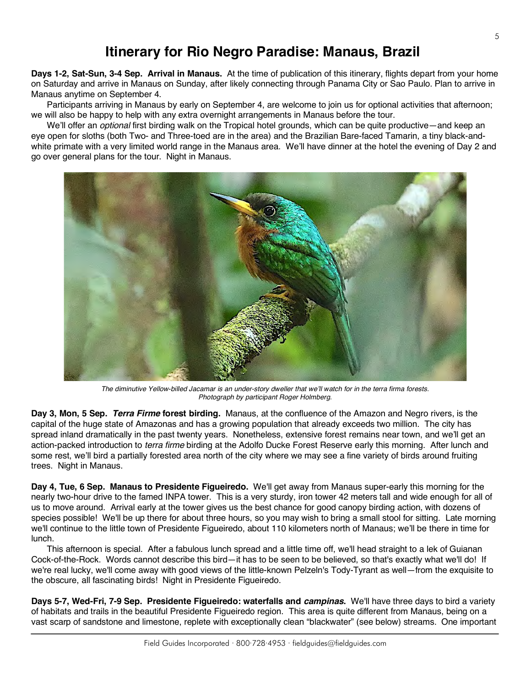### **Itinerary for Rio Negro Paradise: Manaus, Brazil**

**Days 1-2, Sat-Sun, 3-4 Sep. Arrival in Manaus.** At the time of publication of this itinerary, flights depart from your home on Saturday and arrive in Manaus on Sunday, after likely connecting through Panama City or Sao Paulo. Plan to arrive in Manaus anytime on September 4.

Participants arriving in Manaus by early on September 4, are welcome to join us for optional activities that afternoon; we will also be happy to help with any extra overnight arrangements in Manaus before the tour.

We'll offer an *optional* first birding walk on the Tropical hotel grounds, which can be quite productive—and keep an eye open for sloths (both Two- and Three-toed are in the area) and the Brazilian Bare-faced Tamarin, a tiny black-andwhite primate with a very limited world range in the Manaus area. We'll have dinner at the hotel the evening of Day 2 and go over general plans for the tour. Night in Manaus.



*The diminutive Yellow-billed Jacamar is an under-story dweller that we'll watch for in the terra firma forests. Photograph by participant Roger Holmberg.*

**Day 3, Mon, 5 Sep.** *Terra Firme* **forest birding.** Manaus, at the confluence of the Amazon and Negro rivers, is the capital of the huge state of Amazonas and has a growing population that already exceeds two million. The city has spread inland dramatically in the past twenty years. Nonetheless, extensive forest remains near town, and we'll get an action-packed introduction to *terra firme* birding at the Adolfo Ducke Forest Reserve early this morning. After lunch and some rest, we'll bird a partially forested area north of the city where we may see a fine variety of birds around fruiting trees. Night in Manaus.

**Day 4, Tue, 6 Sep. Manaus to Presidente Figueiredo.** We'll get away from Manaus super-early this morning for the nearly two-hour drive to the famed INPA tower. This is a very sturdy, iron tower 42 meters tall and wide enough for all of us to move around. Arrival early at the tower gives us the best chance for good canopy birding action, with dozens of species possible! We'll be up there for about three hours, so you may wish to bring a small stool for sitting. Late morning we'll continue to the little town of Presidente Figueiredo, about 110 kilometers north of Manaus; we'll be there in time for lunch.

This afternoon is special. After a fabulous lunch spread and a little time off, we'll head straight to a lek of Guianan Cock-of-the-Rock. Words cannot describe this bird—it has to be seen to be believed, so that's exactly what we'll do! If we're real lucky, we'll come away with good views of the little-known Pelzeln's Tody-Tyrant as well—from the exquisite to the obscure, all fascinating birds! Night in Presidente Figueiredo.

**Days 5-7, Wed-Fri, 7-9 Sep. Presidente Figueiredo: waterfalls and** *campinas***.** We'll have three days to bird a variety of habitats and trails in the beautiful Presidente Figueiredo region. This area is quite different from Manaus, being on a vast scarp of sandstone and limestone, replete with exceptionally clean "blackwater" (see below) streams. One important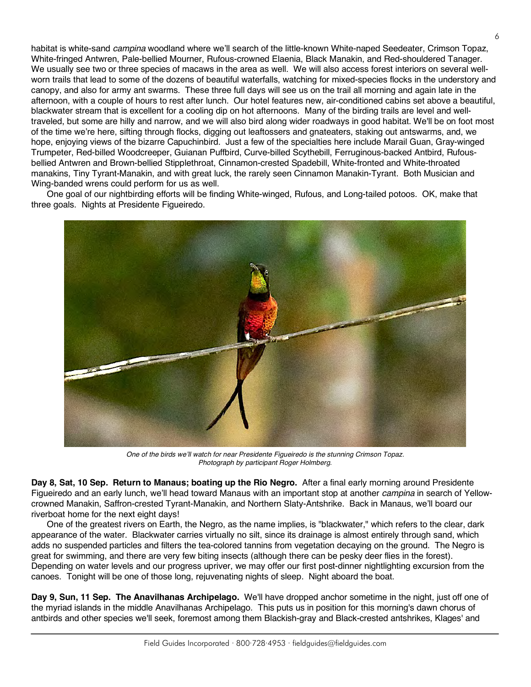habitat is white-sand *campina* woodland where we'll search of the little-known White-naped Seedeater, Crimson Topaz, White-fringed Antwren, Pale-bellied Mourner, Rufous-crowned Elaenia, Black Manakin, and Red-shouldered Tanager. We usually see two or three species of macaws in the area as well. We will also access forest interiors on several wellworn trails that lead to some of the dozens of beautiful waterfalls, watching for mixed-species flocks in the understory and canopy, and also for army ant swarms. These three full days will see us on the trail all morning and again late in the afternoon, with a couple of hours to rest after lunch. Our hotel features new, air-conditioned cabins set above a beautiful, blackwater stream that is excellent for a cooling dip on hot afternoons. Many of the birding trails are level and welltraveled, but some are hilly and narrow, and we will also bird along wider roadways in good habitat. We'll be on foot most of the time we're here, sifting through flocks, digging out leaftossers and gnateaters, staking out antswarms, and, we hope, enjoying views of the bizarre Capuchinbird. Just a few of the specialties here include Marail Guan, Gray-winged Trumpeter, Red-billed Woodcreeper, Guianan Puffbird, Curve-billed Scythebill, Ferruginous-backed Antbird, Rufousbellied Antwren and Brown-bellied Stipplethroat, Cinnamon-crested Spadebill, White-fronted and White-throated manakins, Tiny Tyrant-Manakin, and with great luck, the rarely seen Cinnamon Manakin-Tyrant. Both Musician and Wing-banded wrens could perform for us as well.

One goal of our nightbirding efforts will be finding White-winged, Rufous, and Long-tailed potoos. OK, make that three goals. Nights at Presidente Figueiredo.



*One of the birds we'll watch for near Presidente Figueiredo is the stunning Crimson Topaz. Photograph by participant Roger Holmberg.*

**Day 8, Sat, 10 Sep. Return to Manaus; boating up the Rio Negro.** After a final early morning around Presidente Figueiredo and an early lunch, we'll head toward Manaus with an important stop at another *campina* in search of Yellowcrowned Manakin, Saffron-crested Tyrant-Manakin, and Northern Slaty-Antshrike. Back in Manaus, we'll board our riverboat home for the next eight days!

One of the greatest rivers on Earth, the Negro, as the name implies, is "blackwater," which refers to the clear, dark appearance of the water. Blackwater carries virtually no silt, since its drainage is almost entirely through sand, which adds no suspended particles and filters the tea-colored tannins from vegetation decaying on the ground. The Negro is great for swimming, and there are very few biting insects (although there can be pesky deer flies in the forest). Depending on water levels and our progress upriver, we may offer our first post-dinner nightlighting excursion from the canoes. Tonight will be one of those long, rejuvenating nights of sleep. Night aboard the boat.

**Day 9, Sun, 11 Sep. The Anavilhanas Archipelago.** We'll have dropped anchor sometime in the night, just off one of the myriad islands in the middle Anavilhanas Archipelago. This puts us in position for this morning's dawn chorus of antbirds and other species we'll seek, foremost among them Blackish-gray and Black-crested antshrikes, Klages' and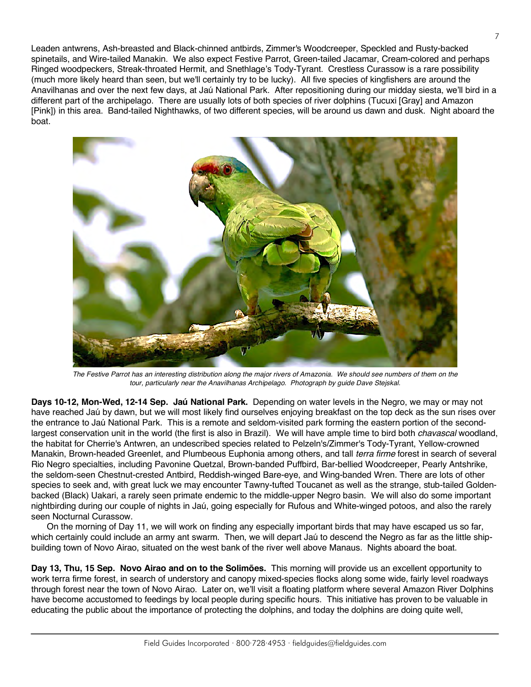Leaden antwrens, Ash-breasted and Black-chinned antbirds, Zimmer's Woodcreeper, Speckled and Rusty-backed spinetails, and Wire-tailed Manakin. We also expect Festive Parrot, Green-tailed Jacamar, Cream-colored and perhaps Ringed woodpeckers, Streak-throated Hermit, and Snethlage's Tody-Tyrant. Crestless Curassow is a rare possibility (much more likely heard than seen, but we'll certainly try to be lucky). All five species of kingfishers are around the Anavilhanas and over the next few days, at Jaú National Park. After repositioning during our midday siesta, we'll bird in a different part of the archipelago. There are usually lots of both species of river dolphins (Tucuxi [Gray] and Amazon [Pink]) in this area. Band-tailed Nighthawks, of two different species, will be around us dawn and dusk. Night aboard the boat.



*The Festive Parrot has an interesting distribution along the major rivers of Amazonia. We should see numbers of them on the tour, particularly near the Anavilhanas Archipelago. Photograph by guide Dave Stejskal.*

**Days 10-12, Mon-Wed, 12-14 Sep. Jaú National Park.** Depending on water levels in the Negro, we may or may not have reached Jaú by dawn, but we will most likely find ourselves enjoying breakfast on the top deck as the sun rises over the entrance to Jaú National Park. This is a remote and seldom-visited park forming the eastern portion of the secondlargest conservation unit in the world (the first is also in Brazil). We will have ample time to bird both *chavascal* woodland, the habitat for Cherrie's Antwren, an undescribed species related to Pelzeln's/Zimmer's Tody-Tyrant, Yellow-crowned Manakin, Brown-headed Greenlet, and Plumbeous Euphonia among others, and tall *terra firme* forest in search of several Rio Negro specialties, including Pavonine Quetzal, Brown-banded Puffbird, Bar-bellied Woodcreeper, Pearly Antshrike, the seldom-seen Chestnut-crested Antbird, Reddish-winged Bare-eye, and Wing-banded Wren. There are lots of other species to seek and, with great luck we may encounter Tawny-tufted Toucanet as well as the strange, stub-tailed Goldenbacked (Black) Uakari, a rarely seen primate endemic to the middle-upper Negro basin. We will also do some important nightbirding during our couple of nights in Jaú, going especially for Rufous and White-winged potoos, and also the rarely seen Nocturnal Curassow.

On the morning of Day 11, we will work on finding any especially important birds that may have escaped us so far, which certainly could include an army ant swarm. Then, we will depart Jaú to descend the Negro as far as the little shipbuilding town of Novo Airao, situated on the west bank of the river well above Manaus. Nights aboard the boat.

**Day 13, Thu, 15 Sep. Novo Airao and on to the Solimões.** This morning will provide us an excellent opportunity to work terra firme forest, in search of understory and canopy mixed-species flocks along some wide, fairly level roadways through forest near the town of Novo Airao. Later on, we'll visit a floating platform where several Amazon River Dolphins have become accustomed to feedings by local people during specific hours. This initiative has proven to be valuable in educating the public about the importance of protecting the dolphins, and today the dolphins are doing quite well,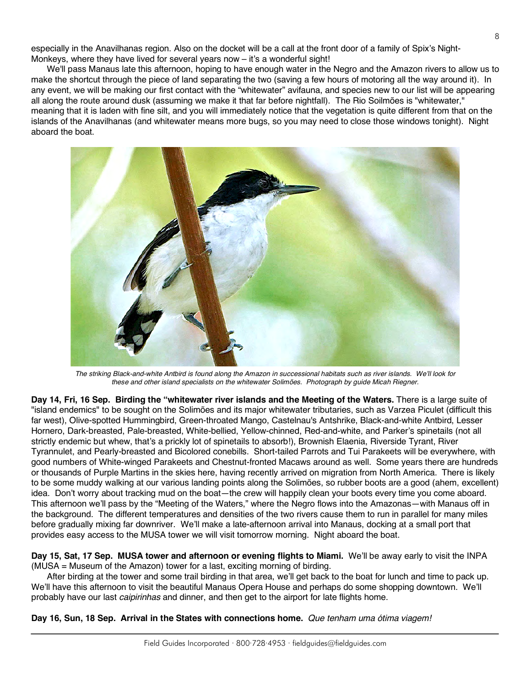especially in the Anavilhanas region. Also on the docket will be a call at the front door of a family of Spix's Night-Monkeys, where they have lived for several years now – it's a wonderful sight!

We'll pass Manaus late this afternoon, hoping to have enough water in the Negro and the Amazon rivers to allow us to make the shortcut through the piece of land separating the two (saving a few hours of motoring all the way around it). In any event, we will be making our first contact with the "whitewater" avifauna, and species new to our list will be appearing all along the route around dusk (assuming we make it that far before nightfall). The Rio Soilmões is "whitewater," meaning that it is laden with fine silt, and you will immediately notice that the vegetation is quite different from that on the islands of the Anavilhanas (and whitewater means more bugs, so you may need to close those windows tonight). Night aboard the boat.



*The striking Black-and-white Antbird is found along the Amazon in successional habitats such as river islands. We'll look for these and other island specialists on the whitewater Solimões. Photograph by guide Micah Riegner.*

**Day 14, Fri, 16 Sep. Birding the "whitewater river islands and the Meeting of the Waters.** There is a large suite of "island endemics" to be sought on the Solimões and its major whitewater tributaries, such as Varzea Piculet (difficult this far west), Olive-spotted Hummingbird, Green-throated Mango, Castelnau's Antshrike, Black-and-white Antbird, Lesser Hornero, Dark-breasted, Pale-breasted, White-bellied, Yellow-chinned, Red-and-white, and Parker's spinetails (not all strictly endemic but whew, that's a prickly lot of spinetails to absorb!), Brownish Elaenia, Riverside Tyrant, River Tyrannulet, and Pearly-breasted and Bicolored conebills. Short-tailed Parrots and Tui Parakeets will be everywhere, with good numbers of White-winged Parakeets and Chestnut-fronted Macaws around as well. Some years there are hundreds or thousands of Purple Martins in the skies here, having recently arrived on migration from North America. There is likely to be some muddy walking at our various landing points along the Solimões, so rubber boots are a good (ahem, excellent) idea. Don't worry about tracking mud on the boat—the crew will happily clean your boots every time you come aboard. This afternoon we'll pass by the "Meeting of the Waters," where the Negro flows into the Amazonas—with Manaus off in the background. The different temperatures and densities of the two rivers cause them to run in parallel for many miles before gradually mixing far downriver. We'll make a late-afternoon arrival into Manaus, docking at a small port that provides easy access to the MUSA tower we will visit tomorrow morning. Night aboard the boat.

**Day 15, Sat, 17 Sep. MUSA tower and afternoon or evening flights to Miami.** We'll be away early to visit the INPA (MUSA = Museum of the Amazon) tower for a last, exciting morning of birding.

After birding at the tower and some trail birding in that area, we'll get back to the boat for lunch and time to pack up. We'll have this afternoon to visit the beautiful Manaus Opera House and perhaps do some shopping downtown. We'll probably have our last *caipirinhas* and dinner, and then get to the airport for late flights home.

**Day 16, Sun, 18 Sep. Arrival in the States with connections home.** *Que tenham uma ótima viagem!*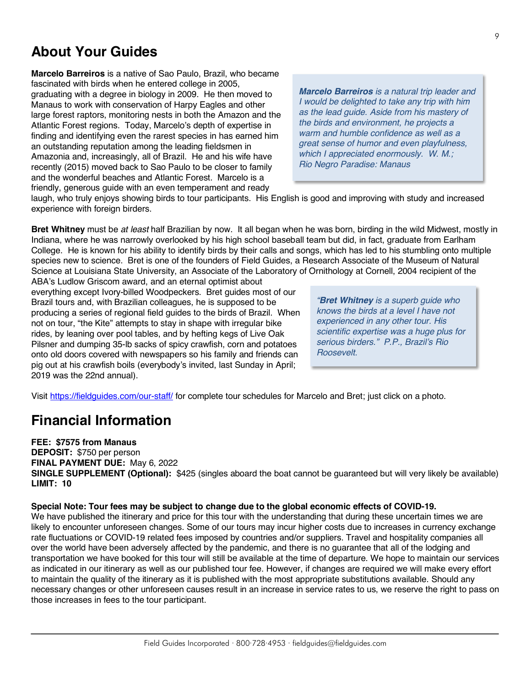### **About Your Guides**

**Marcelo Barreiros** is a native of Sao Paulo, Brazil, who became fascinated with birds when he entered college in 2005, graduating with a degree in biology in 2009. He then moved to Manaus to work with conservation of Harpy Eagles and other large forest raptors, monitoring nests in both the Amazon and the Atlantic Forest regions. Today, Marcelo's depth of expertise in finding and identifying even the rarest species in has earned him an outstanding reputation among the leading fieldsmen in Amazonia and, increasingly, all of Brazil. He and his wife have recently (2015) moved back to Sao Paulo to be closer to family and the wonderful beaches and Atlantic Forest. Marcelo is a friendly, generous guide with an even temperament and ready

*Marcelo Barreiros is a natural trip leader and I would be delighted to take any trip with him as the lead guide. Aside from his mastery of the birds and environment, he projects a warm and humble confidence as well as a great sense of humor and even playfulness, which I appreciated enormously. W. M.; Rio Negro Paradise: Manaus*

laugh, who truly enjoys showing birds to tour participants. His English is good and improving with study and increased experience with foreign birders.

**Bret Whitney** must be *at least* half Brazilian by now. It all began when he was born, birding in the wild Midwest, mostly in Indiana, where he was narrowly overlooked by his high school baseball team but did, in fact, graduate from Earlham College. He is known for his ability to identify birds by their calls and songs, which has led to his stumbling onto multiple species new to science. Bret is one of the founders of Field Guides, a Research Associate of the Museum of Natural Science at Louisiana State University, an Associate of the Laboratory of Ornithology at Cornell, 2004 recipient of the ABA's Ludlow Griscom award, and an eternal optimist about

everything except Ivory-billed Woodpeckers. Bret guides most of our Brazil tours and, with Brazilian colleagues, he is supposed to be producing a series of regional field guides to the birds of Brazil. When not on tour, "the Kite" attempts to stay in shape with irregular bike rides, by leaning over pool tables, and by hefting kegs of Live Oak Pilsner and dumping 35-lb sacks of spicy crawfish, corn and potatoes onto old doors covered with newspapers so his family and friends can pig out at his crawfish boils (everybody's invited, last Sunday in April; 2019 was the 22nd annual).

*"Bret Whitney is a superb guide who knows the birds at a level I have not experienced in any other tour. His scientific expertise was a huge plus for serious birders." P.P., Brazil's Rio Roosevelt.*

Visit https://fieldguides.com/our-staff/ for complete tour schedules for Marcelo and Bret; just click on a photo.

### **Financial Information**

#### **FEE: \$7575 from Manaus**

**DEPOSIT:** \$750 per person **FINAL PAYMENT DUE:** May 6, 2022 **SINGLE SUPPLEMENT (Optional):** \$425 (singles aboard the boat cannot be guaranteed but will very likely be available) **LIMIT: 10**

#### **Special Note: Tour fees may be subject to change due to the global economic effects of COVID-19.**

We have published the itinerary and price for this tour with the understanding that during these uncertain times we are likely to encounter unforeseen changes. Some of our tours may incur higher costs due to increases in currency exchange rate fluctuations or COVID-19 related fees imposed by countries and/or suppliers. Travel and hospitality companies all over the world have been adversely affected by the pandemic, and there is no guarantee that all of the lodging and transportation we have booked for this tour will still be available at the time of departure. We hope to maintain our services as indicated in our itinerary as well as our published tour fee. However, if changes are required we will make every effort to maintain the quality of the itinerary as it is published with the most appropriate substitutions available. Should any necessary changes or other unforeseen causes result in an increase in service rates to us, we reserve the right to pass on those increases in fees to the tour participant.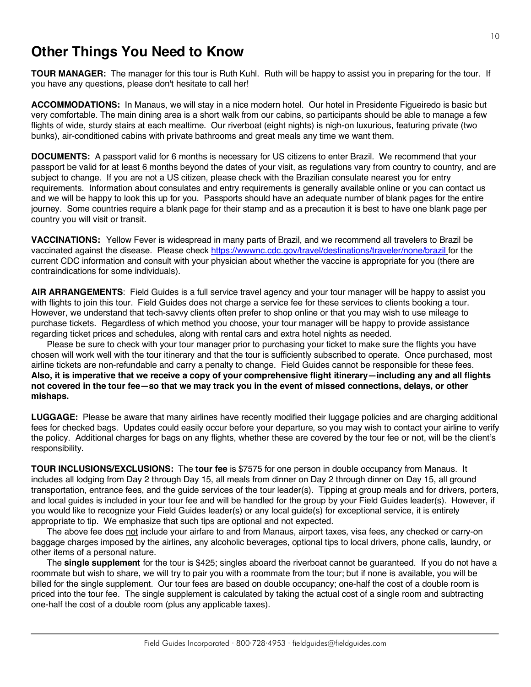## **Other Things You Need to Know**

**TOUR MANAGER:** The manager for this tour is Ruth Kuhl. Ruth will be happy to assist you in preparing for the tour. If you have any questions, please don't hesitate to call her!

**ACCOMMODATIONS:** In Manaus, we will stay in a nice modern hotel. Our hotel in Presidente Figueiredo is basic but very comfortable. The main dining area is a short walk from our cabins, so participants should be able to manage a few flights of wide, sturdy stairs at each mealtime. Our riverboat (eight nights) is nigh-on luxurious, featuring private (two bunks), air-conditioned cabins with private bathrooms and great meals any time we want them.

**DOCUMENTS:** A passport valid for 6 months is necessary for US citizens to enter Brazil. We recommend that your passport be valid for at least 6 months beyond the dates of your visit, as regulations vary from country to country, and are subject to change. If you are not a US citizen, please check with the Brazilian consulate nearest you for entry requirements. Information about consulates and entry requirements is generally available online or you can contact us and we will be happy to look this up for you. Passports should have an adequate number of blank pages for the entire journey. Some countries require a blank page for their stamp and as a precaution it is best to have one blank page per country you will visit or transit.

**VACCINATIONS:** Yellow Fever is widespread in many parts of Brazil, and we recommend all travelers to Brazil be vaccinated against the disease. Please check https://wwwnc.cdc.gov/travel/destinations/traveler/none/brazil for the current CDC information and consult with your physician about whether the vaccine is appropriate for you (there are contraindications for some individuals).

**AIR ARRANGEMENTS**: Field Guides is a full service travel agency and your tour manager will be happy to assist you with flights to join this tour. Field Guides does not charge a service fee for these services to clients booking a tour. However, we understand that tech-savvy clients often prefer to shop online or that you may wish to use mileage to purchase tickets. Regardless of which method you choose, your tour manager will be happy to provide assistance regarding ticket prices and schedules, along with rental cars and extra hotel nights as needed.

Please be sure to check with your tour manager prior to purchasing your ticket to make sure the flights you have chosen will work well with the tour itinerary and that the tour is sufficiently subscribed to operate. Once purchased, most airline tickets are non-refundable and carry a penalty to change. Field Guides cannot be responsible for these fees. **Also, it is imperative that we receive a copy of your comprehensive flight itinerary—including any and all flights not covered in the tour fee—so that we may track you in the event of missed connections, delays, or other mishaps.**

**LUGGAGE:** Please be aware that many airlines have recently modified their luggage policies and are charging additional fees for checked bags. Updates could easily occur before your departure, so you may wish to contact your airline to verify the policy. Additional charges for bags on any flights, whether these are covered by the tour fee or not, will be the client's responsibility.

**TOUR INCLUSIONS/EXCLUSIONS:** The **tour fee** is \$7575 for one person in double occupancy from Manaus. It includes all lodging from Day 2 through Day 15, all meals from dinner on Day 2 through dinner on Day 15, all ground transportation, entrance fees, and the guide services of the tour leader(s). Tipping at group meals and for drivers, porters, and local guides is included in your tour fee and will be handled for the group by your Field Guides leader(s). However, if you would like to recognize your Field Guides leader(s) or any local guide(s) for exceptional service, it is entirely appropriate to tip. We emphasize that such tips are optional and not expected.

The above fee does not include your airfare to and from Manaus, airport taxes, visa fees, any checked or carry-on baggage charges imposed by the airlines, any alcoholic beverages, optional tips to local drivers, phone calls, laundry, or other items of a personal nature.

The **single supplement** for the tour is \$425; singles aboard the riverboat cannot be guaranteed. If you do not have a roommate but wish to share, we will try to pair you with a roommate from the tour; but if none is available, you will be billed for the single supplement. Our tour fees are based on double occupancy; one-half the cost of a double room is priced into the tour fee. The single supplement is calculated by taking the actual cost of a single room and subtracting one-half the cost of a double room (plus any applicable taxes).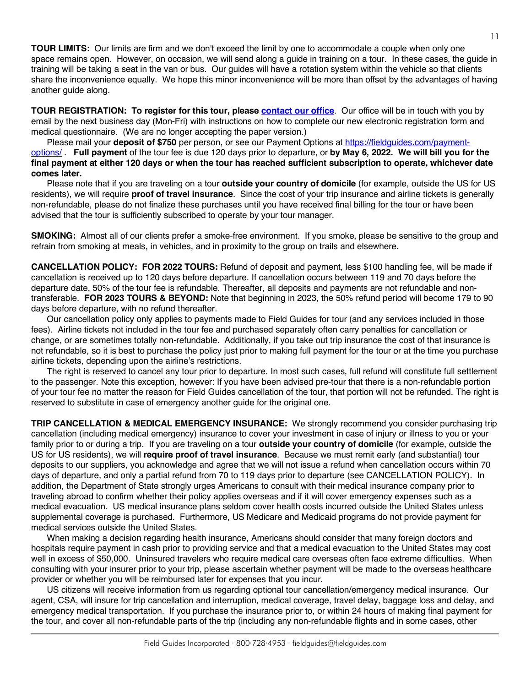**TOUR LIMITS:** Our limits are firm and we don't exceed the limit by one to accommodate a couple when only one space remains open. However, on occasion, we will send along a guide in training on a tour. In these cases, the guide in training will be taking a seat in the van or bus. Our guides will have a rotation system within the vehicle so that clients share the inconvenience equally. We hope this minor inconvenience will be more than offset by the advantages of having another guide along.

**TOUR REGISTRATION: To register for this tour, please [contact our office](https://fieldguides.com/contact-us/)**. Our office will be in touch with you by email by the next business day (Mon-Fri) with instructions on how to complete our new electronic registration form and medical questionnaire. (We are no longer accepting the paper version.)

Please mail your **deposit of \$750** per person, or see our Payment Options at [https://fieldguides.com/payment](https://fieldguides.com/payment-options/)[options/](https://fieldguides.com/payment-options/) . **Full payment** of the tour fee is due 120 days prior to departure, or **by May 6, 2022. We will bill you for the final payment at either 120 days or when the tour has reached sufficient subscription to operate, whichever date comes later.**

Please note that if you are traveling on a tour **outside your country of domicile** (for example, outside the US for US residents), we will require **proof of travel insurance**. Since the cost of your trip insurance and airline tickets is generally non-refundable, please do not finalize these purchases until you have received final billing for the tour or have been advised that the tour is sufficiently subscribed to operate by your tour manager.

**SMOKING:** Almost all of our clients prefer a smoke-free environment. If you smoke, please be sensitive to the group and refrain from smoking at meals, in vehicles, and in proximity to the group on trails and elsewhere.

**CANCELLATION POLICY: FOR 2022 TOURS:** Refund of deposit and payment, less \$100 handling fee, will be made if cancellation is received up to 120 days before departure. If cancellation occurs between 119 and 70 days before the departure date, 50% of the tour fee is refundable. Thereafter, all deposits and payments are not refundable and nontransferable. **FOR 2023 TOURS & BEYOND:** Note that beginning in 2023, the 50% refund period will become 179 to 90 days before departure, with no refund thereafter.

Our cancellation policy only applies to payments made to Field Guides for tour (and any services included in those fees). Airline tickets not included in the tour fee and purchased separately often carry penalties for cancellation or change, or are sometimes totally non-refundable. Additionally, if you take out trip insurance the cost of that insurance is not refundable, so it is best to purchase the policy just prior to making full payment for the tour or at the time you purchase airline tickets, depending upon the airline's restrictions.

The right is reserved to cancel any tour prior to departure. In most such cases, full refund will constitute full settlement to the passenger. Note this exception, however: If you have been advised pre-tour that there is a non-refundable portion of your tour fee no matter the reason for Field Guides cancellation of the tour, that portion will not be refunded. The right is reserved to substitute in case of emergency another guide for the original one.

**TRIP CANCELLATION & MEDICAL EMERGENCY INSURANCE:** We strongly recommend you consider purchasing trip cancellation (including medical emergency) insurance to cover your investment in case of injury or illness to you or your family prior to or during a trip. If you are traveling on a tour **outside your country of domicile** (for example, outside the US for US residents), we will **require proof of travel insurance**. Because we must remit early (and substantial) tour deposits to our suppliers, you acknowledge and agree that we will not issue a refund when cancellation occurs within 70 days of departure, and only a partial refund from 70 to 119 days prior to departure (see CANCELLATION POLICY). In addition, the Department of State strongly urges Americans to consult with their medical insurance company prior to traveling abroad to confirm whether their policy applies overseas and if it will cover emergency expenses such as a medical evacuation. US medical insurance plans seldom cover health costs incurred outside the United States unless supplemental coverage is purchased. Furthermore, US Medicare and Medicaid programs do not provide payment for medical services outside the United States.

When making a decision regarding health insurance, Americans should consider that many foreign doctors and hospitals require payment in cash prior to providing service and that a medical evacuation to the United States may cost well in excess of \$50,000. Uninsured travelers who require medical care overseas often face extreme difficulties. When consulting with your insurer prior to your trip, please ascertain whether payment will be made to the overseas healthcare provider or whether you will be reimbursed later for expenses that you incur.

US citizens will receive information from us regarding optional tour cancellation/emergency medical insurance. Our agent, CSA, will insure for trip cancellation and interruption, medical coverage, travel delay, baggage loss and delay, and emergency medical transportation. If you purchase the insurance prior to, or within 24 hours of making final payment for the tour, and cover all non-refundable parts of the trip (including any non-refundable flights and in some cases, other